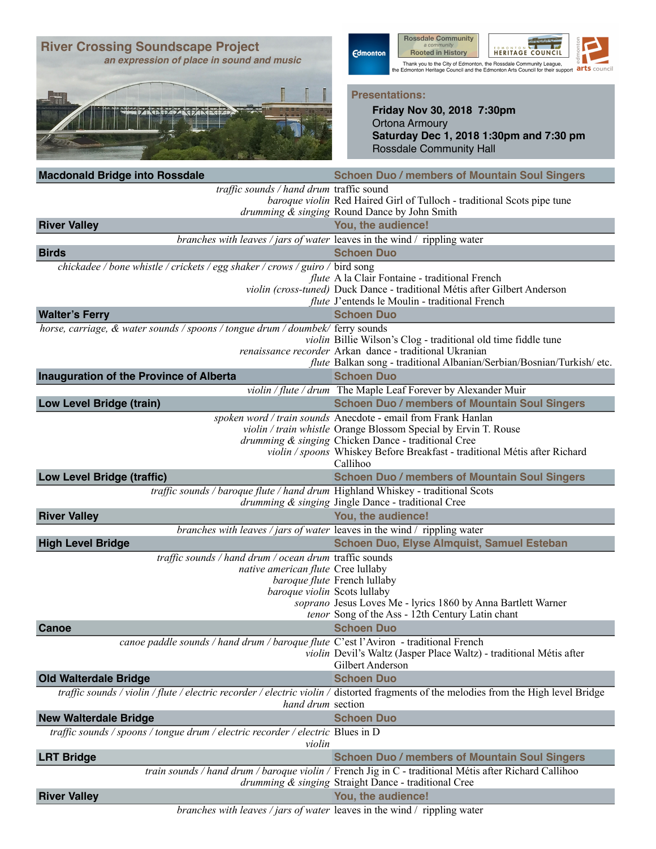| <b>River Crossing Soundscape Project</b><br>an expression of place in sound and music                                        | <b>Rossdale Community</b><br>a community<br><b>Edmonton</b><br><b>Rooted in History</b><br><b>HERITAGE COUNCIL</b><br>Thank you to the City of Edmonton, the Rossdale Community League,<br>arts council<br>the Edmonton Heritage Council and the Edmonton Arts Council for their support |
|------------------------------------------------------------------------------------------------------------------------------|------------------------------------------------------------------------------------------------------------------------------------------------------------------------------------------------------------------------------------------------------------------------------------------|
|                                                                                                                              | <b>Presentations:</b><br>Friday Nov 30, 2018 7:30pm<br><b>Ortona Armoury</b><br>Saturday Dec 1, 2018 1:30pm and 7:30 pm<br><b>Rossdale Community Hall</b>                                                                                                                                |
| <b>Macdonald Bridge into Rossdale</b>                                                                                        | <b>Schoen Duo / members of Mountain Soul Singers</b>                                                                                                                                                                                                                                     |
| traffic sounds / hand drum traffic sound                                                                                     | baroque violin Red Haired Girl of Tulloch - traditional Scots pipe tune<br>drumming & singing Round Dance by John Smith                                                                                                                                                                  |
| <b>River Valley</b>                                                                                                          | You, the audience!                                                                                                                                                                                                                                                                       |
| branches with leaves / jars of water leaves in the wind / rippling water<br><b>Birds</b>                                     | <b>Schoen Duo</b>                                                                                                                                                                                                                                                                        |
| chickadee / bone whistle / crickets / egg shaker / crows / guiro / bird song                                                 |                                                                                                                                                                                                                                                                                          |
|                                                                                                                              | <i>flute</i> A la Clair Fontaine - traditional French<br>violin (cross-tuned) Duck Dance - traditional Métis after Gilbert Anderson<br>flute J'entends le Moulin - traditional French                                                                                                    |
| <b>Walter's Ferry</b>                                                                                                        | <b>Schoen Duo</b>                                                                                                                                                                                                                                                                        |
| horse, carriage, & water sounds / spoons / tongue drum / doumbek/ ferry sounds                                               | violin Billie Wilson's Clog - traditional old time fiddle tune<br>renaissance recorder Arkan dance - traditional Ukranian<br>flute Balkan song - traditional Albanian/Serbian/Bosnian/Turkish/ etc.                                                                                      |
| Inauguration of the Province of Alberta                                                                                      | <b>Schoen Duo</b>                                                                                                                                                                                                                                                                        |
|                                                                                                                              | violin / flute / drum The Maple Leaf Forever by Alexander Muir                                                                                                                                                                                                                           |
| <b>Low Level Bridge (train)</b>                                                                                              | <b>Schoen Duo / members of Mountain Soul Singers</b>                                                                                                                                                                                                                                     |
|                                                                                                                              | spoken word / train sounds Anecdote - email from Frank Hanlan<br>violin / train whistle Orange Blossom Special by Ervin T. Rouse<br>drumming & singing Chicken Dance - traditional Cree<br>violin / spoons Whiskey Before Breakfast - traditional Métis after Richard<br>Callihoo        |
| <b>Low Level Bridge (traffic)</b>                                                                                            | <b>Schoen Duo / members of Mountain Soul Singers</b>                                                                                                                                                                                                                                     |
| traffic sounds / baroque flute / hand drum Highland Whiskey - traditional Scots                                              | drumming & singing Jingle Dance - traditional Cree                                                                                                                                                                                                                                       |
| <b>River Valley</b><br>branches with leaves / jars of water leaves in the wind / rippling water                              | You, the audience!                                                                                                                                                                                                                                                                       |
| <b>High Level Bridge</b>                                                                                                     | <b>Schoen Duo, Elyse Almquist, Samuel Esteban</b>                                                                                                                                                                                                                                        |
| traffic sounds / hand drum / ocean drum traffic sounds<br>native american flute Cree lullaby<br>baroque violin Scots lullaby | baroque flute French lullaby<br>soprano Jesus Loves Me - lyrics 1860 by Anna Bartlett Warner<br>tenor Song of the Ass - 12th Century Latin chant                                                                                                                                         |
| Canoe                                                                                                                        | <b>Schoen Duo</b>                                                                                                                                                                                                                                                                        |
| canoe paddle sounds / hand drum / baroque flute C'est l'Aviron - traditional French                                          | violin Devil's Waltz (Jasper Place Waltz) - traditional Métis after<br>Gilbert Anderson                                                                                                                                                                                                  |
| <b>Old Walterdale Bridge</b>                                                                                                 | <b>Schoen Duo</b>                                                                                                                                                                                                                                                                        |
| hand drum section                                                                                                            | traffic sounds / violin / flute / electric recorder / electric violin / distorted fragments of the melodies from the High level Bridge                                                                                                                                                   |
| <b>New Walterdale Bridge</b><br>traffic sounds / spoons / tongue drum / electric recorder / electric Blues in D              | <b>Schoen Duo</b>                                                                                                                                                                                                                                                                        |
| violin                                                                                                                       |                                                                                                                                                                                                                                                                                          |
| <b>LRT Bridge</b>                                                                                                            | <b>Schoen Duo / members of Mountain Soul Singers</b>                                                                                                                                                                                                                                     |
|                                                                                                                              | train sounds / hand drum / baroque violin / French Jig in C - traditional Métis after Richard Callihoo<br>drumming & singing Straight Dance - traditional Cree                                                                                                                           |
| <b>River Valley</b>                                                                                                          | You, the audience!                                                                                                                                                                                                                                                                       |
| branches with leaves / jars of water leaves in the wind / rippling water                                                     |                                                                                                                                                                                                                                                                                          |